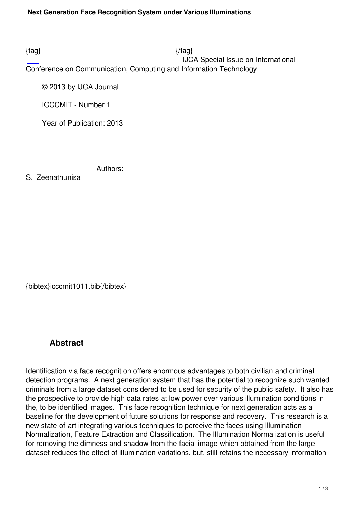## $\{tag\}$

 IJCA Special Issue on International Conference on Communication, Computing and Information Technology

© 2013 by IJCA Journal

ICCCMIT - Number 1

Year of Publication: 2013

Authors:

S. Zeenathunisa

{bibtex}icccmit1011.bib{/bibtex}

# **Abstract**

Identification via face recognition offers enormous advantages to both civilian and criminal detection programs. A next generation system that has the potential to recognize such wanted criminals from a large dataset considered to be used for security of the public safety. It also has the prospective to provide high data rates at low power over various illumination conditions in the, to be identified images. This face recognition technique for next generation acts as a baseline for the development of future solutions for response and recovery. This research is a new state-of-art integrating various techniques to perceive the faces using Illumination Normalization, Feature Extraction and Classification. The Illumination Normalization is useful for removing the dimness and shadow from the facial image which obtained from the large dataset reduces the effect of illumination variations, but, still retains the necessary information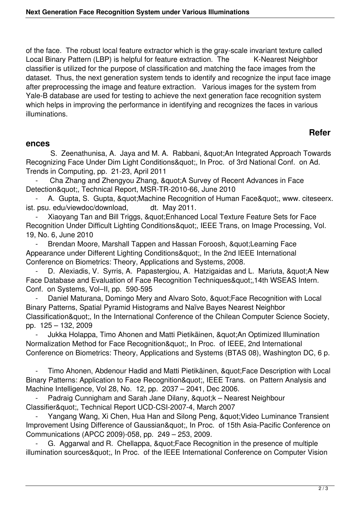of the face. The robust local feature extractor which is the gray-scale invariant texture called Local Binary Pattern (LBP) is helpful for feature extraction. The K-Nearest Neighbor classifier is utilized for the purpose of classification and matching the face images from the dataset. Thus, the next generation system tends to identify and recognize the input face image after preprocessing the image and feature extraction. Various images for the system from Yale-B database are used for testing to achieve the next generation face recognition system which helps in improving the performance in identifying and recognizes the faces in various illuminations.

## **Refer**

#### **ences**

S. Zeenathunisa, A. Jaya and M. A. Rabbani, " An Integrated Approach Towards Recognizing Face Under Dim Light Conditions", In Proc. of 3rd National Conf. on Ad. Trends in Computing, pp. 21-23, April 2011

Cha Zhang and Zhengyou Zhang, " A Survey of Recent Advances in Face Detection", Technical Report, MSR-TR-2010-66, June 2010

A. Gupta, S. Gupta, " Machine Recognition of Human Face ", www. citeseerx. ist. psu. edu/viewdoc/download, dt. May 2011.

Xiaoyang Tan and Bill Triggs, & quot; Enhanced Local Texture Feature Sets for Face Recognition Under Difficult Lighting Conditions", IEEE Trans, on Image Processing, Vol. 19, No. 6, June 2010

Brendan Moore, Marshall Tappen and Hassan Foroosh, "Learning Face Appearance under Different Lighting Conditions", In the 2nd IEEE International Conference on Biometrics: Theory, Applications and Systems, 2008.

D. Alexiadis, V. Syrris, A. Papastergiou, A. Hatzigaidas and L. Mariuta, & quot; A New Face Database and Evaluation of Face Recognition Techniques",14th WSEAS Intern. Conf. on Systems, Vol–II, pp. 590-595

Daniel Maturana, Domingo Mery and Alvaro Soto, " Face Recognition with Local Binary Patterns, Spatial Pyramid Histograms and Naïve Bayes Nearest Neighbor Classification", In the International Conference of the Chilean Computer Science Society, pp. 125 – 132, 2009

Jukka Holappa, Timo Ahonen and Matti Pietikäinen, &quot:An Optimized Illumination Normalization Method for Face Recognition", In Proc. of IEEE, 2nd International Conference on Biometrics: Theory, Applications and Systems (BTAS 08), Washington DC, 6 p.

Timo Ahonen, Abdenour Hadid and Matti Pietikäinen, " Face Description with Local Binary Patterns: Application to Face Recognition", IEEE Trans. on Pattern Analysis and Machine Intelligence, Vol 28, No. 12, pp. 2037 – 2041, Dec 2006.

Padraig Cunnigham and Sarah Jane Dilany, "k – Nearest Neighbour Classifier", Technical Report UCD-CSI-2007-4, March 2007

Yangang Wang, Xi Chen, Hua Han and Silong Peng, " Video Luminance Transient Improvement Using Difference of Gaussian", In Proc. of 15th Asia-Pacific Conference on Communications (APCC 2009)-058, pp. 249 – 253, 2009.

G. Aggarwal and R. Chellappa, " Face Recognition in the presence of multiple illumination sources", In Proc. of the IEEE International Conference on Computer Vision